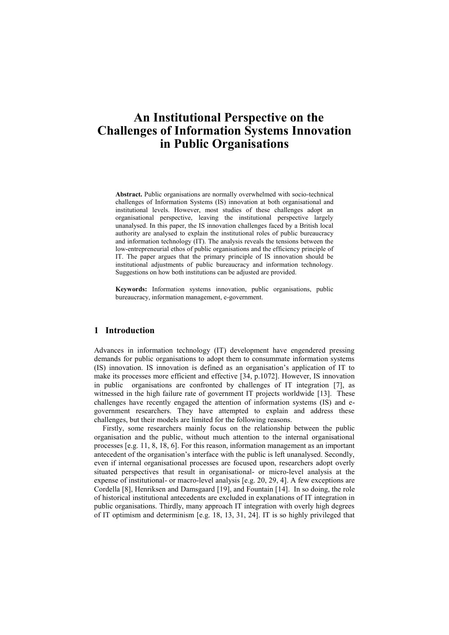# **An Institutional Perspective on the Challenges of Information Systems Innovation in Public Organisations**

**Abstract.** Public organisations are normally overwhelmed with socio-technical challenges of Information Systems (IS) innovation at both organisational and institutional levels. However, most studies of these challenges adopt an organisational perspective, leaving the institutional perspective largely unanalysed. In this paper, the IS innovation challenges faced by a British local authority are analysed to explain the institutional roles of public bureaucracy and information technology (IT). The analysis reveals the tensions between the low-entrepreneurial ethos of public organisations and the efficiency principle of IT. The paper argues that the primary principle of IS innovation should be institutional adjustments of public bureaucracy and information technology. Suggestions on how both institutions can be adjusted are provided.

**Keywords:** Information systems innovation, public organisations, public bureaucracy, information management, e-government.

# **1 Introduction**

Advances in information technology (IT) development have engendered pressing demands for public organisations to adopt them to consummate information systems (IS) innovation. IS innovation is defined as an organisation"s application of IT to make its processes more efficient and effective [34, p.1072]. However, IS innovation in public organisations are confronted by challenges of IT integration [7], as witnessed in the high failure rate of government IT projects worldwide [13]. These challenges have recently engaged the attention of information systems (IS) and egovernment researchers. They have attempted to explain and address these challenges, but their models are limited for the following reasons.

Firstly, some researchers mainly focus on the relationship between the public organisation and the public, without much attention to the internal organisational processes [e.g. 11, 8, 18, 6]. For this reason, information management as an important antecedent of the organisation"s interface with the public is left unanalysed. Secondly, even if internal organisational processes are focused upon, researchers adopt overly situated perspectives that result in organisational- or micro-level analysis at the expense of institutional- or macro-level analysis [e.g. 20, 29, 4]. A few exceptions are Cordella [8], Henriksen and Damsgaard [19], and Fountain [14]. In so doing, the role of historical institutional antecedents are excluded in explanations of IT integration in public organisations. Thirdly, many approach IT integration with overly high degrees of IT optimism and determinism [e.g. 18, 13, 31, 24]. IT is so highly privileged that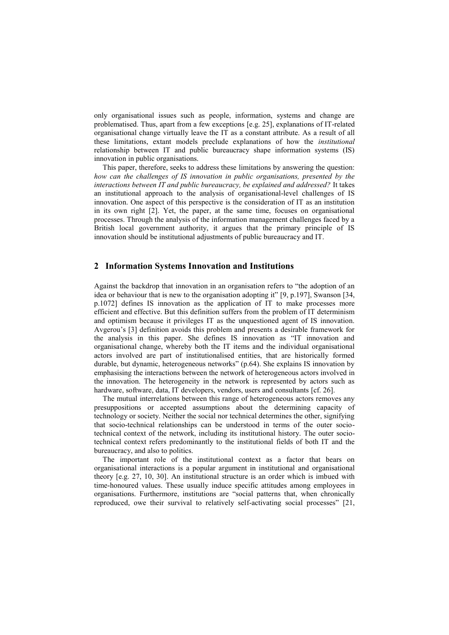only organisational issues such as people, information, systems and change are problematised. Thus, apart from a few exceptions [e.g. 25], explanations of IT-related organisational change virtually leave the IT as a constant attribute. As a result of all these limitations, extant models preclude explanations of how the *institutional* relationship between IT and public bureaucracy shape information systems (IS) innovation in public organisations.

This paper, therefore, seeks to address these limitations by answering the question: *how can the challenges of IS innovation in public organisations, presented by the interactions between IT and public bureaucracy, be explained and addressed?* It takes an institutional approach to the analysis of organisational-level challenges of IS innovation. One aspect of this perspective is the consideration of IT as an institution in its own right [2]. Yet, the paper, at the same time, focuses on organisational processes. Through the analysis of the information management challenges faced by a British local government authority, it argues that the primary principle of IS innovation should be institutional adjustments of public bureaucracy and IT.

# **2 Information Systems Innovation and Institutions**

Against the backdrop that innovation in an organisation refers to "the adoption of an idea or behaviour that is new to the organisation adopting it" [9, p.197], Swanson [34, p.1072] defines IS innovation as the application of IT to make processes more efficient and effective. But this definition suffers from the problem of IT determinism and optimism because it privileges IT as the unquestioned agent of IS innovation. Avgerou"s [3] definition avoids this problem and presents a desirable framework for the analysis in this paper. She defines IS innovation as "IT innovation and organisational change, whereby both the IT items and the individual organisational actors involved are part of institutionalised entities, that are historically formed durable, but dynamic, heterogeneous networks" (p.64). She explains IS innovation by emphasising the interactions between the network of heterogeneous actors involved in the innovation. The heterogeneity in the network is represented by actors such as hardware, software, data, IT developers, vendors, users and consultants [cf. 26].

The mutual interrelations between this range of heterogeneous actors removes any presuppositions or accepted assumptions about the determining capacity of technology or society. Neither the social nor technical determines the other, signifying that socio-technical relationships can be understood in terms of the outer sociotechnical context of the network, including its institutional history. The outer sociotechnical context refers predominantly to the institutional fields of both IT and the bureaucracy, and also to politics.

The important role of the institutional context as a factor that bears on organisational interactions is a popular argument in institutional and organisational theory [e.g. 27, 10, 30]. An institutional structure is an order which is imbued with time-honoured values. These usually induce specific attitudes among employees in organisations. Furthermore, institutions are "social patterns that, when chronically reproduced, owe their survival to relatively self-activating social processes" [21,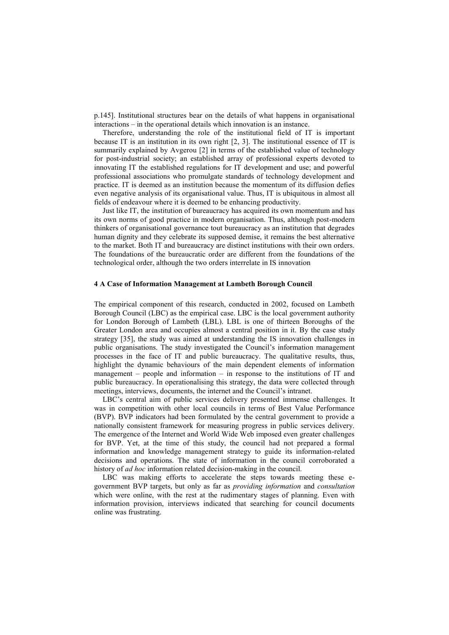p.145]. Institutional structures bear on the details of what happens in organisational interactions – in the operational details which innovation is an instance.

Therefore, understanding the role of the institutional field of IT is important because IT is an institution in its own right [2, 3]. The institutional essence of IT is summarily explained by Avgerou [2] in terms of the established value of technology for post-industrial society; an established array of professional experts devoted to innovating IT the established regulations for IT development and use; and powerful professional associations who promulgate standards of technology development and practice. IT is deemed as an institution because the momentum of its diffusion defies even negative analysis of its organisational value. Thus, IT is ubiquitous in almost all fields of endeavour where it is deemed to be enhancing productivity.

Just like IT, the institution of bureaucracy has acquired its own momentum and has its own norms of good practice in modern organisation. Thus, although post-modern thinkers of organisational governance tout bureaucracy as an institution that degrades human dignity and they celebrate its supposed demise, it remains the best alternative to the market. Both IT and bureaucracy are distinct institutions with their own orders. The foundations of the bureaucratic order are different from the foundations of the technological order, although the two orders interrelate in IS innovation

## **4 A Case of Information Management at Lambeth Borough Council**

The empirical component of this research, conducted in 2002, focused on Lambeth Borough Council (LBC) as the empirical case. LBC is the local government authority for London Borough of Lambeth (LBL). LBL is one of thirteen Boroughs of the Greater London area and occupies almost a central position in it. By the case study strategy [35], the study was aimed at understanding the IS innovation challenges in public organisations. The study investigated the Council"s information management processes in the face of IT and public bureaucracy. The qualitative results, thus, highlight the dynamic behaviours of the main dependent elements of information management – people and information – in response to the institutions of IT and public bureaucracy. In operationalising this strategy, the data were collected through meetings, interviews, documents, the internet and the Council"s intranet.

LBC"s central aim of public services delivery presented immense challenges. It was in competition with other local councils in terms of Best Value Performance (BVP). BVP indicators had been formulated by the central government to provide a nationally consistent framework for measuring progress in public services delivery. The emergence of the Internet and World Wide Web imposed even greater challenges for BVP. Yet, at the time of this study, the council had not prepared a formal information and knowledge management strategy to guide its information-related decisions and operations. The state of information in the council corroborated a history of *ad hoc* information related decision-making in the council.

LBC was making efforts to accelerate the steps towards meeting these egovernment BVP targets, but only as far as *providing information* and *consultation* which were online, with the rest at the rudimentary stages of planning. Even with information provision, interviews indicated that searching for council documents online was frustrating.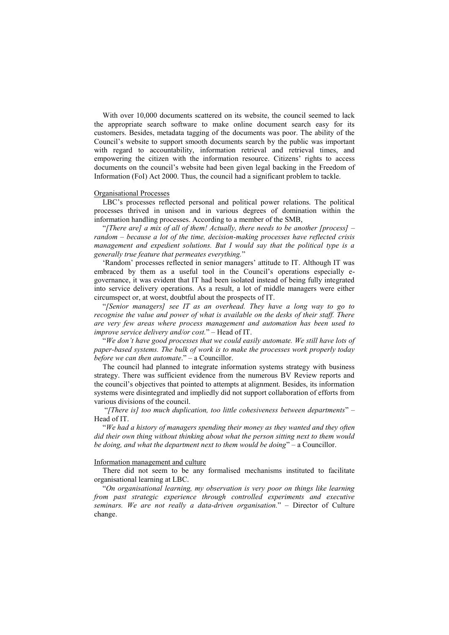With over 10,000 documents scattered on its website, the council seemed to lack the appropriate search software to make online document search easy for its customers. Besides, metadata tagging of the documents was poor. The ability of the Council"s website to support smooth documents search by the public was important with regard to accountability, information retrieval and retrieval times, and empowering the citizen with the information resource. Citizens' rights to access documents on the council's website had been given legal backing in the Freedom of Information (FoI) Act 2000. Thus, the council had a significant problem to tackle.

#### Organisational Processes

LBC"s processes reflected personal and political power relations. The political processes thrived in unison and in various degrees of domination within the information handling processes. According to a member of the SMB,

"*[There are] a mix of all of them! Actually, there needs to be another [process] – random – because a lot of the time, decision-making processes have reflected crisis management and expedient solutions. But I would say that the political type is a generally true feature that permeates everything.*"

'Random' processes reflected in senior managers' attitude to IT. Although IT was embraced by them as a useful tool in the Council's operations especially egovernance, it was evident that IT had been isolated instead of being fully integrated into service delivery operations. As a result, a lot of middle managers were either circumspect or, at worst, doubtful about the prospects of IT.

"*[Senior managers] see IT as an overhead. They have a long way to go to recognise the value and power of what is available on the desks of their staff. There are very few areas where process management and automation has been used to improve service delivery and/or cost.*" – Head of IT.

"*We don't have good processes that we could easily automate. We still have lots of paper-based systems. The bulk of work is to make the processes work properly today before we can then automate*." – a Councillor.

The council had planned to integrate information systems strategy with business strategy. There was sufficient evidence from the numerous BV Review reports and the council"s objectives that pointed to attempts at alignment. Besides, its information systems were disintegrated and impliedly did not support collaboration of efforts from various divisions of the council.

"*[There is] too much duplication, too little cohesiveness between departments*" – Head of IT.

"*We had a history of managers spending their money as they wanted and they often did their own thing without thinking about what the person sitting next to them would be doing, and what the department next to them would be doing*" – a Councillor.

#### Information management and culture

There did not seem to be any formalised mechanisms instituted to facilitate organisational learning at LBC.

"*On organisational learning, my observation is very poor on things like learning from past strategic experience through controlled experiments and executive seminars. We are not really a data-driven organisation.*" – Director of Culture change.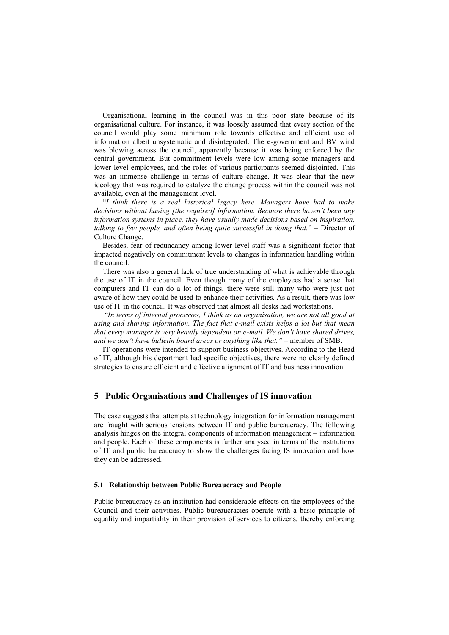Organisational learning in the council was in this poor state because of its organisational culture. For instance, it was loosely assumed that every section of the council would play some minimum role towards effective and efficient use of information albeit unsystematic and disintegrated. The e-government and BV wind was blowing across the council, apparently because it was being enforced by the central government. But commitment levels were low among some managers and lower level employees, and the roles of various participants seemed disjointed. This was an immense challenge in terms of culture change. It was clear that the new ideology that was required to catalyze the change process within the council was not available, even at the management level.

"*I think there is a real historical legacy here. Managers have had to make decisions without having [the required] information. Because there haven't been any information systems in place, they have usually made decisions based on inspiration, talking to few people, and often being quite successful in doing that.*" – Director of Culture Change.

Besides, fear of redundancy among lower-level staff was a significant factor that impacted negatively on commitment levels to changes in information handling within the council.

There was also a general lack of true understanding of what is achievable through the use of IT in the council. Even though many of the employees had a sense that computers and IT can do a lot of things, there were still many who were just not aware of how they could be used to enhance their activities. As a result, there was low use of IT in the council. It was observed that almost all desks had workstations.

"*In terms of internal processes, I think as an organisation, we are not all good at using and sharing information. The fact that e-mail exists helps a lot but that mean that every manager is very heavily dependent on e-mail. We don't have shared drives, and we don't have bulletin board areas or anything like that."* – member of SMB.

IT operations were intended to support business objectives. According to the Head of IT, although his department had specific objectives, there were no clearly defined strategies to ensure efficient and effective alignment of IT and business innovation.

# **5 Public Organisations and Challenges of IS innovation**

The case suggests that attempts at technology integration for information management are fraught with serious tensions between IT and public bureaucracy. The following analysis hinges on the integral components of information management – information and people. Each of these components is further analysed in terms of the institutions of IT and public bureaucracy to show the challenges facing IS innovation and how they can be addressed.

#### **5.1 Relationship between Public Bureaucracy and People**

Public bureaucracy as an institution had considerable effects on the employees of the Council and their activities. Public bureaucracies operate with a basic principle of equality and impartiality in their provision of services to citizens, thereby enforcing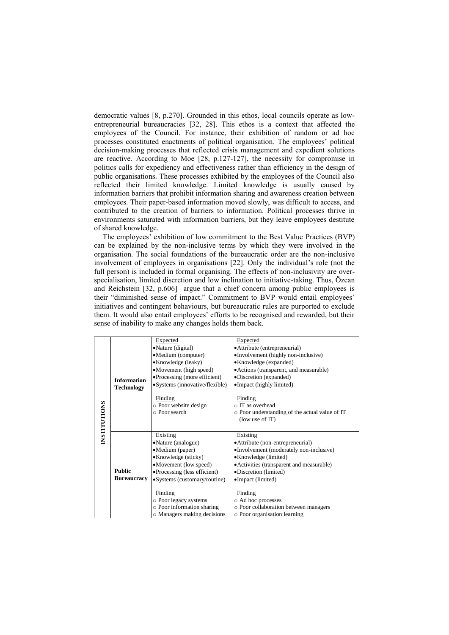democratic values [8, p.270]. Grounded in this ethos, local councils operate as lowentrepreneurial bureaucracies [32, 28]. This ethos is a context that affected the employees of the Council. For instance, their exhibition of random or ad hoc processes constituted enactments of political organisation. The employees" political decision-making processes that reflected crisis management and expedient solutions are reactive. According to Moe [28, p.127-127], the necessity for compromise in politics calls for expediency and effectiveness rather than efficiency in the design of public organisations. These processes exhibited by the employees of the Council also reflected their limited knowledge. Limited knowledge is usually caused by information barriers that prohibit information sharing and awareness creation between employees. Their paper-based information moved slowly, was difficult to access, and contributed to the creation of barriers to information. Political processes thrive in environments saturated with information barriers, but they leave employees destitute of shared knowledge.

The employees' exhibition of low commitment to the Best Value Practices (BVP) can be explained by the non-inclusive terms by which they were involved in the organisation. The social foundations of the bureaucratic order are the non-inclusive involvement of employees in organisations [22]. Only the individual"s role (not the full person) is included in formal organising. The effects of non-inclusivity are overspecialisation, limited discretion and low inclination to initiative-taking. Thus, Özcan and Reichstein [32, p.606] argue that a chief concern among public employees is their "diminished sense of impact." Commitment to BVP would entail employees' initiatives and contingent behaviours, but bureaucratic rules are purported to exclude them. It would also entail employees" efforts to be recognised and rewarded, but their sense of inability to make any changes holds them back.

|                     |                    | Expected                        | Expected                                       |
|---------------------|--------------------|---------------------------------|------------------------------------------------|
|                     |                    | •Nature (digital)               | • Attribute (entrepreneurial)                  |
|                     |                    | •Medium (computer)              | •Involvement (highly non-inclusive)            |
|                     |                    | • Knowledge (leaky)             | • Knowledge (expanded)                         |
|                     |                    | •Movement (high speed)          | • Actions (transparent, and measurable)        |
|                     | <b>Information</b> | •Processing (more efficient)    | •Discretion (expanded)                         |
|                     |                    | • Systems (innovative/flexible) | •Impact (highly limited)                       |
|                     | <b>Technology</b>  |                                 |                                                |
|                     |                    | <b>Finding</b>                  | Finding                                        |
|                     |                    | o Poor website design           | $\circ$ IT as overhead                         |
|                     |                    | o Poor search                   | o Poor understanding of the actual value of IT |
|                     |                    |                                 | (low use of IT)                                |
|                     |                    |                                 |                                                |
| <b>INSTITUTIONS</b> |                    | Existing                        | Existing                                       |
|                     |                    | •Nature (analogue)              | • Attribute (non-entrepreneurial)              |
|                     |                    | •Medium (paper)                 | •Involvement (moderately non-inclusive)        |
|                     |                    | • Knowledge (sticky)            | • Knowledge (limited)                          |
|                     |                    | •Movement (low speed)           | • Activities (transparent and measurable)      |
|                     | <b>Public</b>      | • Processing (less efficient)   | ·Discretion (limited)                          |
|                     | <b>Bureaucracy</b> | • Systems (customary/routine)   | •Impact (limited)                              |
|                     |                    |                                 |                                                |
|                     |                    | Finding                         | Finding                                        |
|                     |                    | o Poor legacy systems           | ○ Ad hoc processes                             |
|                     |                    | o Poor information sharing      | o Poor collaboration between managers          |
|                     |                    | o Managers making decisions     | o Poor organisation learning                   |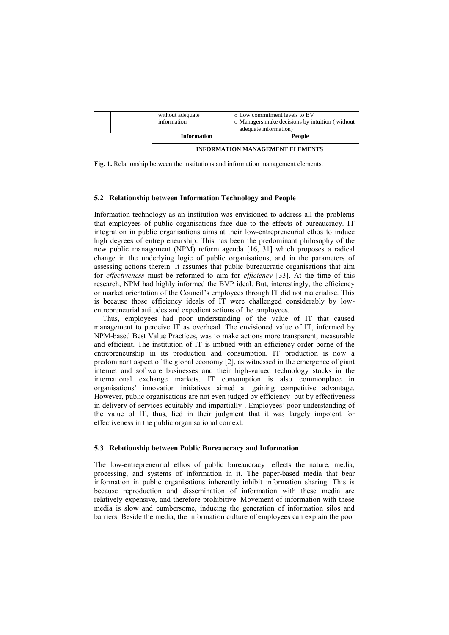| <b>INFORMATION MANAGEMENT ELEMENTS</b> |                                                                                        |
|----------------------------------------|----------------------------------------------------------------------------------------|
| <b>Information</b>                     | People                                                                                 |
|                                        | adequate information)                                                                  |
| without adequate<br>information        | <b>Low commitment levels to BV</b><br>• Managers make decisions by intuition (without) |

**Fig. 1.** Relationship between the institutions and information management elements.

#### **5.2 Relationship between Information Technology and People**

Information technology as an institution was envisioned to address all the problems that employees of public organisations face due to the effects of bureaucracy. IT integration in public organisations aims at their low-entrepreneurial ethos to induce high degrees of entrepreneurship. This has been the predominant philosophy of the new public management (NPM) reform agenda [16, 31] which proposes a radical change in the underlying logic of public organisations, and in the parameters of assessing actions therein. It assumes that public bureaucratic organisations that aim for *effectiveness* must be reformed to aim for *efficiency* [33]. At the time of this research, NPM had highly informed the BVP ideal. But, interestingly, the efficiency or market orientation of the Council's employees through IT did not materialise. This is because those efficiency ideals of IT were challenged considerably by lowentrepreneurial attitudes and expedient actions of the employees.

Thus, employees had poor understanding of the value of IT that caused management to perceive IT as overhead. The envisioned value of IT, informed by NPM-based Best Value Practices, was to make actions more transparent, measurable and efficient. The institution of IT is imbued with an efficiency order borne of the entrepreneurship in its production and consumption. IT production is now a predominant aspect of the global economy [2], as witnessed in the emergence of giant internet and software businesses and their high-valued technology stocks in the international exchange markets. IT consumption is also commonplace in organisations" innovation initiatives aimed at gaining competitive advantage. However, public organisations are not even judged by efficiency but by effectiveness in delivery of services equitably and impartially . Employees" poor understanding of the value of IT, thus, lied in their judgment that it was largely impotent for effectiveness in the public organisational context.

#### **5.3 Relationship between Public Bureaucracy and Information**

The low-entrepreneurial ethos of public bureaucracy reflects the nature, media, processing, and systems of information in it. The paper-based media that bear information in public organisations inherently inhibit information sharing. This is because reproduction and dissemination of information with these media are relatively expensive, and therefore prohibitive. Movement of information with these media is slow and cumbersome, inducing the generation of information silos and barriers. Beside the media, the information culture of employees can explain the poor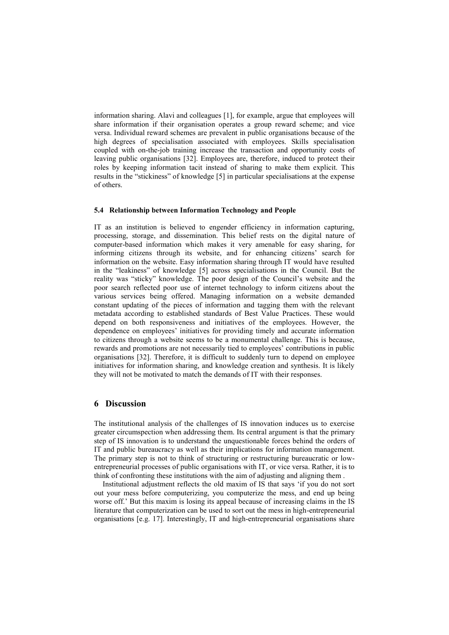information sharing. Alavi and colleagues [1], for example, argue that employees will share information if their organisation operates a group reward scheme; and vice versa. Individual reward schemes are prevalent in public organisations because of the high degrees of specialisation associated with employees. Skills specialisation coupled with on-the-job training increase the transaction and opportunity costs of leaving public organisations [32]. Employees are, therefore, induced to protect their roles by keeping information tacit instead of sharing to make them explicit. This results in the "stickiness" of knowledge [5] in particular specialisations at the expense of others.

### **5.4 Relationship between Information Technology and People**

IT as an institution is believed to engender efficiency in information capturing, processing, storage, and dissemination. This belief rests on the digital nature of computer-based information which makes it very amenable for easy sharing, for informing citizens through its website, and for enhancing citizens" search for information on the website. Easy information sharing through IT would have resulted in the "leakiness" of knowledge [5] across specialisations in the Council. But the reality was "sticky" knowledge. The poor design of the Council"s website and the poor search reflected poor use of internet technology to inform citizens about the various services being offered. Managing information on a website demanded constant updating of the pieces of information and tagging them with the relevant metadata according to established standards of Best Value Practices. These would depend on both responsiveness and initiatives of the employees. However, the dependence on employees' initiatives for providing timely and accurate information to citizens through a website seems to be a monumental challenge. This is because, rewards and promotions are not necessarily tied to employees' contributions in public organisations [32]. Therefore, it is difficult to suddenly turn to depend on employee initiatives for information sharing, and knowledge creation and synthesis. It is likely they will not be motivated to match the demands of IT with their responses.

# **6 Discussion**

The institutional analysis of the challenges of IS innovation induces us to exercise greater circumspection when addressing them. Its central argument is that the primary step of IS innovation is to understand the unquestionable forces behind the orders of IT and public bureaucracy as well as their implications for information management. The primary step is not to think of structuring or restructuring bureaucratic or lowentrepreneurial processes of public organisations with IT, or vice versa. Rather, it is to think of confronting these institutions with the aim of adjusting and aligning them .

Institutional adjustment reflects the old maxim of IS that says "if you do not sort out your mess before computerizing, you computerize the mess, and end up being worse off." But this maxim is losing its appeal because of increasing claims in the IS literature that computerization can be used to sort out the mess in high-entrepreneurial organisations [e.g. 17]. Interestingly, IT and high-entrepreneurial organisations share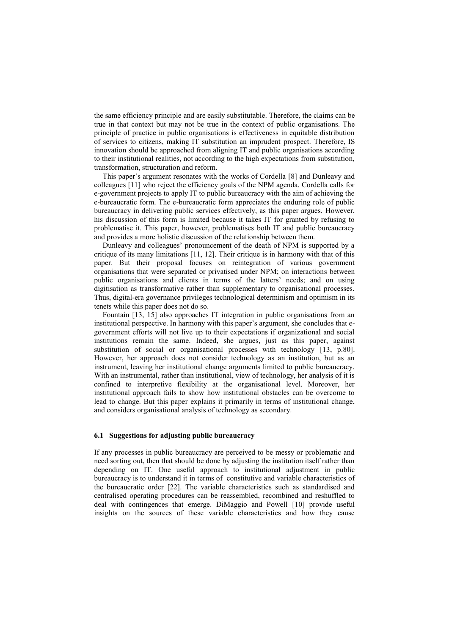the same efficiency principle and are easily substitutable. Therefore, the claims can be true in that context but may not be true in the context of public organisations. The principle of practice in public organisations is effectiveness in equitable distribution of services to citizens, making IT substitution an imprudent prospect. Therefore, IS innovation should be approached from aligning IT and public organisations according to their institutional realities, not according to the high expectations from substitution, transformation, structuration and reform.

This paper's argument resonates with the works of Cordella [8] and Dunleavy and colleagues [11] who reject the efficiency goals of the NPM agenda. Cordella calls for e-government projects to apply IT to public bureaucracy with the aim of achieving the e-bureaucratic form. The e-bureaucratic form appreciates the enduring role of public bureaucracy in delivering public services effectively, as this paper argues. However, his discussion of this form is limited because it takes IT for granted by refusing to problematise it. This paper, however, problematises both IT and public bureaucracy and provides a more holistic discussion of the relationship between them.

Dunleavy and colleagues" pronouncement of the death of NPM is supported by a critique of its many limitations [11, 12]. Their critique is in harmony with that of this paper. But their proposal focuses on reintegration of various government organisations that were separated or privatised under NPM; on interactions between public organisations and clients in terms of the latters' needs; and on using digitisation as transformative rather than supplementary to organisational processes. Thus, digital-era governance privileges technological determinism and optimism in its tenets while this paper does not do so.

Fountain [13, 15] also approaches IT integration in public organisations from an institutional perspective. In harmony with this paper's argument, she concludes that egovernment efforts will not live up to their expectations if organizational and social institutions remain the same. Indeed, she argues, just as this paper, against substitution of social or organisational processes with technology [13, p.80]. However, her approach does not consider technology as an institution, but as an instrument, leaving her institutional change arguments limited to public bureaucracy. With an instrumental, rather than institutional, view of technology, her analysis of it is confined to interpretive flexibility at the organisational level. Moreover, her institutional approach fails to show how institutional obstacles can be overcome to lead to change. But this paper explains it primarily in terms of institutional change, and considers organisational analysis of technology as secondary.

#### **6.1 Suggestions for adjusting public bureaucracy**

If any processes in public bureaucracy are perceived to be messy or problematic and need sorting out, then that should be done by adjusting the institution itself rather than depending on IT. One useful approach to institutional adjustment in public bureaucracy is to understand it in terms of constitutive and variable characteristics of the bureaucratic order [22]. The variable characteristics such as standardised and centralised operating procedures can be reassembled, recombined and reshuffled to deal with contingences that emerge. DiMaggio and Powell [10] provide useful insights on the sources of these variable characteristics and how they cause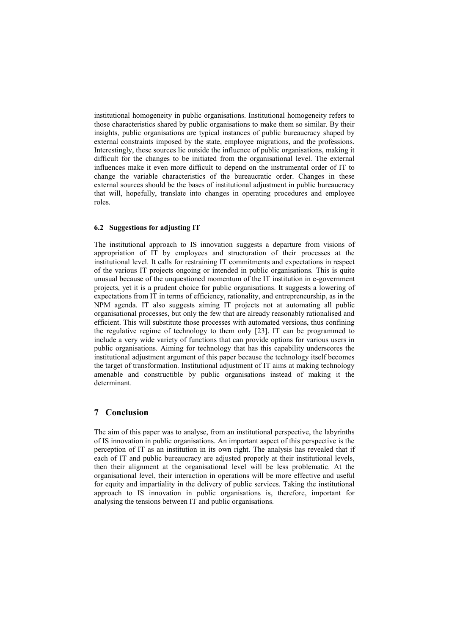institutional homogeneity in public organisations. Institutional homogeneity refers to those characteristics shared by public organisations to make them so similar. By their insights, public organisations are typical instances of public bureaucracy shaped by external constraints imposed by the state, employee migrations, and the professions. Interestingly, these sources lie outside the influence of public organisations, making it difficult for the changes to be initiated from the organisational level. The external influences make it even more difficult to depend on the instrumental order of IT to change the variable characteristics of the bureaucratic order. Changes in these external sources should be the bases of institutional adjustment in public bureaucracy that will, hopefully, translate into changes in operating procedures and employee roles.

#### **6.2 Suggestions for adjusting IT**

The institutional approach to IS innovation suggests a departure from visions of appropriation of IT by employees and structuration of their processes at the institutional level. It calls for restraining IT commitments and expectations in respect of the various IT projects ongoing or intended in public organisations. This is quite unusual because of the unquestioned momentum of the IT institution in e-government projects, yet it is a prudent choice for public organisations. It suggests a lowering of expectations from IT in terms of efficiency, rationality, and entrepreneurship, as in the NPM agenda. IT also suggests aiming IT projects not at automating all public organisational processes, but only the few that are already reasonably rationalised and efficient. This will substitute those processes with automated versions, thus confining the regulative regime of technology to them only [23]. IT can be programmed to include a very wide variety of functions that can provide options for various users in public organisations. Aiming for technology that has this capability underscores the institutional adjustment argument of this paper because the technology itself becomes the target of transformation. Institutional adjustment of IT aims at making technology amenable and constructible by public organisations instead of making it the determinant.

# **7 Conclusion**

The aim of this paper was to analyse, from an institutional perspective, the labyrinths of IS innovation in public organisations. An important aspect of this perspective is the perception of IT as an institution in its own right. The analysis has revealed that if each of IT and public bureaucracy are adjusted properly at their institutional levels, then their alignment at the organisational level will be less problematic. At the organisational level, their interaction in operations will be more effective and useful for equity and impartiality in the delivery of public services. Taking the institutional approach to IS innovation in public organisations is, therefore, important for analysing the tensions between IT and public organisations.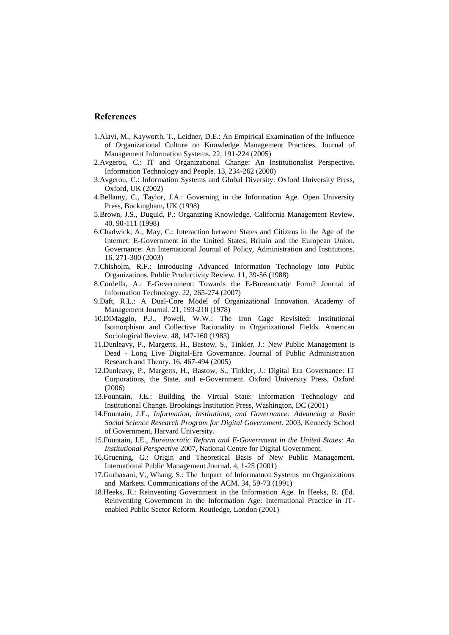# **References**

- 1.Alavi, M., Kayworth, T., Leidner, D.E.: An Empirical Examination of the Influence of Organizational Culture on Knowledge Management Practices. Journal of Management Information Systems. 22, 191-224 (2005)
- 2.Avgerou, C.: IT and Organizational Change: An Institutionalist Perspective. Information Technology and People. 13, 234-262 (2000)
- 3.Avgerou, C.: Information Systems and Global Diversity. Oxford University Press, Oxford, UK (2002)
- 4.Bellamy, C., Taylor, J.A.: Governing in the Information Age. Open University Press, Buckingham, UK (1998)
- 5.Brown, J.S., Duguid, P.: Organizing Knowledge. California Management Review. 40, 90-111 (1998)
- 6.Chadwick, A., May, C.: Interaction between States and Citizens in the Age of the Internet: E-Government in the United States, Britain and the European Union. Governance: An International Journal of Policy, Administration and Institutions. 16, 271-300 (2003)
- 7.Chisholm, R.F.: Introducing Advanced Information Technology into Public Organizations. Public Productivity Review. 11, 39-56 (1988)
- 8.Cordella, A.: E-Government: Towards the E-Bureaucratic Form? Journal of Information Technology. 22, 265-274 (2007)
- 9.Daft, R.L.: A Dual-Core Model of Organizational Innovation. Academy of Management Journal. 21, 193-210 (1978)
- 10.DiMaggio, P.J., Powell, W.W.: The Iron Cage Revisited: Institutional Isomorphism and Collective Rationality in Organizational Fields. American Sociological Review. 48, 147-160 (1983)
- 11.Dunleavy, P., Margetts, H., Bastow, S., Tinkler, J.: New Public Management is Dead - Long Live Digital-Era Governance. Journal of Public Administration Research and Theory. 16, 467-494 (2005)
- 12.Dunleavy, P., Margetts, H., Bastow, S., Tinkler, J.: Digital Era Governance: IT Corporations, the State, and e-Government. Oxford University Press, Oxford (2006)
- 13.Fountain, J.E.: Building the Virtual State: Information Technology and Institutional Change. Brookings Institution Press, Washington, DC (2001)
- 14.Fountain, J.E., *Information, Institutions, and Governance: Advancing a Basic Social Science Research Program for Digital Government*. 2003, Kennedy School of Government, Harvard University.
- 15.Fountain, J.E., *Bureaucratic Reform and E-Government in the United States: An Institutional Perspective* 2007, National Centre for Digital Government.
- 16.Gruening, G.: Origin and Theoretical Basis of New Public Management. International Public Management Journal. 4, 1-25 (2001)
- 17.Gurbaxani, V., Whang, S.: The Impact of Informatuon Systems on Organizations and Markets. Communications of the ACM. 34, 59-73 (1991)
- 18.Heeks, R.: Reinventing Government in the Information Age. In Heeks, R. (Ed. Reinventing Government in the Information Age: International Practice in ITenabled Public Sector Reform. Routledge, London (2001)